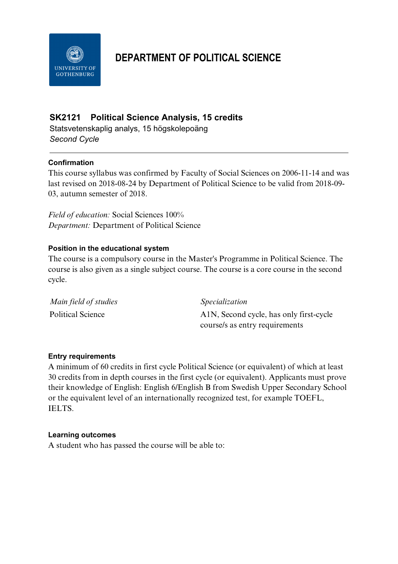

# **DEPARTMENT OF POLITICAL SCIENCE**

# **SK2121 Political Science Analysis, 15 credits**

Statsvetenskaplig analys, 15 högskolepoäng *Second Cycle*

## **Confirmation**

This course syllabus was confirmed by Faculty of Social Sciences on 2006-11-14 and was last revised on 2018-08-24 by Department of Political Science to be valid from 2018-09- 03, autumn semester of 2018.

*Field of education:* Social Sciences 100% *Department:* Department of Political Science

## **Position in the educational system**

The course is a compulsory course in the Master's Programme in Political Science. The course is also given as a single subject course. The course is a core course in the second cycle.

| Main field of studies | <i>Specialization</i>                   |
|-----------------------|-----------------------------------------|
| Political Science     | A1N, Second cycle, has only first-cycle |
|                       | course/s as entry requirements          |

## **Entry requirements**

A minimum of 60 credits in first cycle Political Science (or equivalent) of which at least 30 credits from in depth courses in the first cycle (or equivalent). Applicants must prove their knowledge of English: English 6/English B from Swedish Upper Secondary School or the equivalent level of an internationally recognized test, for example TOEFL, IELTS.

## **Learning outcomes**

A student who has passed the course will be able to: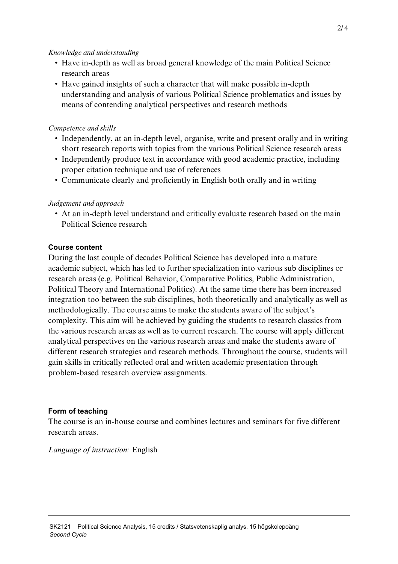#### *Knowledge and understanding*

- Have in-depth as well as broad general knowledge of the main Political Science research areas
- Have gained insights of such a character that will make possible in-depth understanding and analysis of various Political Science problematics and issues by means of contending analytical perspectives and research methods

## *Competence and skills*

- Independently, at an in-depth level, organise, write and present orally and in writing short research reports with topics from the various Political Science research areas
- Independently produce text in accordance with good academic practice, including proper citation technique and use of references
- Communicate clearly and proficiently in English both orally and in writing

## *Judgement and approach*

• At an in-depth level understand and critically evaluate research based on the main Political Science research

## **Course content**

During the last couple of decades Political Science has developed into a mature academic subject, which has led to further specialization into various sub disciplines or research areas (e.g. Political Behavior, Comparative Politics, Public Administration, Political Theory and International Politics). At the same time there has been increased integration too between the sub disciplines, both theoretically and analytically as well as methodologically. The course aims to make the students aware of the subject's complexity. This aim will be achieved by guiding the students to research classics from the various research areas as well as to current research. The course will apply different analytical perspectives on the various research areas and make the students aware of different research strategies and research methods. Throughout the course, students will gain skills in critically reflected oral and written academic presentation through problem-based research overview assignments.

## **Form of teaching**

The course is an in-house course and combines lectures and seminars for five different research areas.

*Language of instruction:* English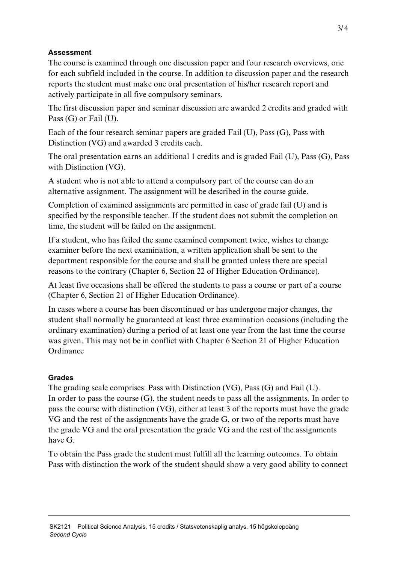## **Assessment**

The course is examined through one discussion paper and four research overviews, one for each subfield included in the course. In addition to discussion paper and the research reports the student must make one oral presentation of his/her research report and actively participate in all five compulsory seminars.

The first discussion paper and seminar discussion are awarded 2 credits and graded with Pass (G) or Fail (U).

Each of the four research seminar papers are graded Fail (U), Pass (G), Pass with Distinction (VG) and awarded 3 credits each.

The oral presentation earns an additional 1 credits and is graded Fail (U), Pass (G), Pass with Distinction (VG).

A student who is not able to attend a compulsory part of the course can do an alternative assignment. The assignment will be described in the course guide.

Completion of examined assignments are permitted in case of grade fail (U) and is specified by the responsible teacher. If the student does not submit the completion on time, the student will be failed on the assignment.

If a student, who has failed the same examined component twice, wishes to change examiner before the next examination, a written application shall be sent to the department responsible for the course and shall be granted unless there are special reasons to the contrary (Chapter 6, Section 22 of Higher Education Ordinance).

At least five occasions shall be offered the students to pass a course or part of a course (Chapter 6, Section 21 of Higher Education Ordinance).

In cases where a course has been discontinued or has undergone major changes, the student shall normally be guaranteed at least three examination occasions (including the ordinary examination) during a period of at least one year from the last time the course was given. This may not be in conflict with Chapter 6 Section 21 of Higher Education Ordinance

# **Grades**

The grading scale comprises: Pass with Distinction (VG), Pass (G) and Fail (U). In order to pass the course  $(G)$ , the student needs to pass all the assignments. In order to pass the course with distinction (VG), either at least 3 of the reports must have the grade VG and the rest of the assignments have the grade G, or two of the reports must have the grade VG and the oral presentation the grade VG and the rest of the assignments have G.

To obtain the Pass grade the student must fulfill all the learning outcomes. To obtain Pass with distinction the work of the student should show a very good ability to connect